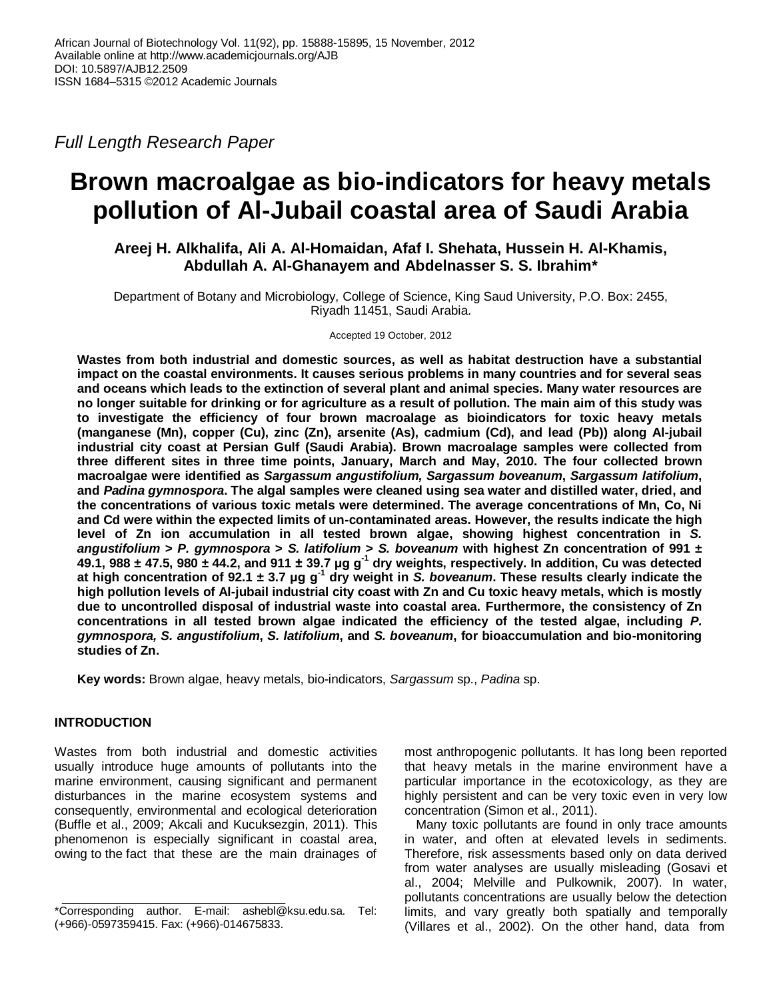*Full Length Research Paper*

# **Brown macroalgae as bio-indicators for heavy metals pollution of Al-Jubail coastal area of Saudi Arabia**

**Areej H. Alkhalifa, Ali A. Al-Homaidan, Afaf I. Shehata, Hussein H. Al-Khamis, Abdullah A. Al-Ghanayem and Abdelnasser S. S. Ibrahim\***

Department of Botany and Microbiology, College of Science, King Saud University, P.O. Box: 2455, Riyadh 11451, Saudi Arabia.

Accepted 19 October, 2012

**Wastes from both industrial and domestic sources, as well as habitat destruction have a substantial impact on the coastal environments. It causes serious problems in many countries and for several seas and oceans which leads to the extinction of several plant and animal species. Many water resources are no longer suitable for drinking or for agriculture as a result of pollution. The main aim of this study was to investigate the efficiency of four brown macroalage as bioindicators for toxic heavy metals (manganese (Mn), copper (Cu), zinc (Zn), arsenite (As), cadmium (Cd), and lead (Pb)) along Al-jubail industrial city coast at Persian Gulf (Saudi Arabia). Brown macroalage samples were collected from three different sites in three time points, January, March and May, 2010. The four collected brown macroalgae were identified as** *Sargassum angustifolium, Sargassum boveanum***,** *Sargassum latifolium***, and** *Padina gymnospora***. The algal samples were cleaned using sea water and distilled water, dried, and the concentrations of various toxic metals were determined. The average concentrations of Mn, Co, Ni and Cd were within the expected limits of un-contaminated areas. However, the results indicate the high level of Zn ion accumulation in all tested brown algae, showing highest concentration in** *S. angustifolium* **>** *P. gymnospora* **>** *S. latifolium* **>** *S. boveanum* **with highest Zn concentration of 991 ± 49.1, 988 ± 47.5, 980 ± 44.2, and 911 ± 39.7 μg g-1 dry weights, respectively. In addition, Cu was detected at high concentration of 92.1 ± 3.7 μg g-1 dry weight in** *S. boveanum***. These results clearly indicate the high pollution levels of Al-jubail industrial city coast with Zn and Cu toxic heavy metals, which is mostly due to uncontrolled disposal of industrial waste into coastal area. Furthermore, the consistency of Zn concentrations in all tested brown algae indicated the efficiency of the tested algae, including** *P. gymnospora, S. angustifolium***,** *S. latifolium***, and** *S. boveanum***, for bioaccumulation and bio-monitoring studies of Zn.**

**Key words:** Brown algae, heavy metals, bio-indicators, *Sargassum* sp., *Padina* sp.

# **INTRODUCTION**

Wastes from both industrial and domestic activities usually introduce huge amounts of pollutants into the marine environment, causing significant and permanent disturbances in the marine ecosystem systems and consequently, environmental and ecological deterioration (Buffle et al., 2009; Akcali and Kucuksezgin, 2011). This phenomenon is especially significant in coastal area, owing to the fact that these are the main drainages of

most anthropogenic pollutants. It has long been reported that heavy metals in the marine environment have a particular importance in the ecotoxicology, as they are highly persistent and can be very toxic even in very low concentration (Simon et al., 2011).

Many toxic pollutants are found in only trace amounts in water, and often at elevated levels in sediments. Therefore, risk assessments based only on data derived from water analyses are usually misleading (Gosavi et al., 2004; Melville and Pulkownik, 2007). In water, pollutants concentrations are usually below the detection limits, and vary greatly both spatially and temporally (Villares et al., 2002). On the other hand, data from

<sup>\*</sup>Corresponding author. E-mail: ashebl@ksu.edu.sa. Tel: (+966)-0597359415. Fax: (+966)-014675833.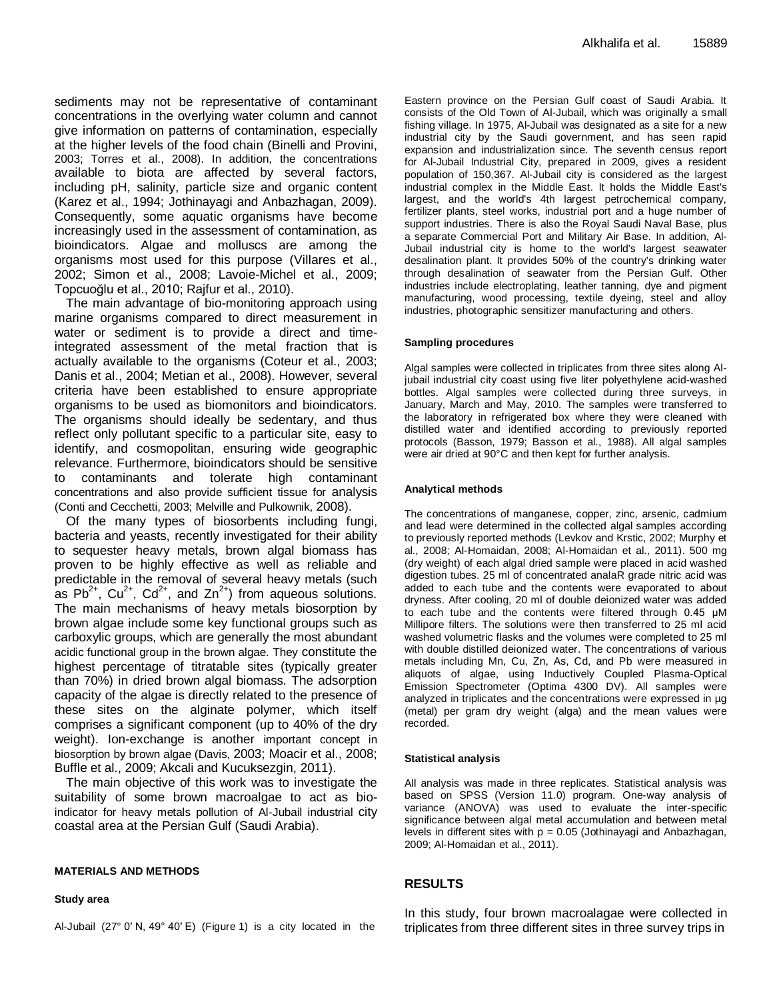sediments may not be representative of contaminant concentrations in the overlying water column and cannot give information on patterns of contamination, especially at the higher levels of the food chain (Binelli and Provini, 2003; Torres et al., 2008). In addition, the concentrations available to biota are affected by several factors, including pH, salinity, particle size and organic content (Karez et al., 1994; Jothinayagi and Anbazhagan, 2009). Consequently, some aquatic organisms have become increasingly used in the assessment of contamination, as bioindicators. Algae and molluscs are among the organisms most used for this purpose (Villares et al., 2002; Simon et al., 2008; Lavoie-Michel et al., 2009; Topcuoğlu et al., 2010; Rajfur et al., 2010).

The main advantage of bio-monitoring approach using marine organisms compared to direct measurement in water or sediment is to provide a direct and timeintegrated assessment of the metal fraction that is actually available to the organisms (Coteur et al., 2003; Danis et al., 2004; Metian et al., 2008). However, several criteria have been established to ensure appropriate organisms to be used as biomonitors and bioindicators. The organisms should ideally be sedentary, and thus reflect only pollutant specific to a particular site, easy to identify, and cosmopolitan, ensuring wide geographic relevance. Furthermore, bioindicators should be sensitive to contaminants and tolerate high contaminant concentrations and also provide sufficient tissue for analysis (Conti and Cecchetti, 2003; Melville and Pulkownik, 2008).

Of the many types of biosorbents including fungi, bacteria and yeasts, recently investigated for their ability to sequester heavy metals, brown algal biomass has proven to be highly effective as well as reliable and predictable in the removal of several heavy metals (such as Pb<sup>2+</sup>, Cu<sup>2+</sup>, Cd<sup>2+</sup>, and Zn<sup>2+</sup>) from aqueous solutions. The main mechanisms of heavy metals biosorption by brown algae include some key functional groups such as carboxylic groups, which are generally the most abundant acidic functional group in the brown algae. They constitute the highest percentage of titratable sites (typically greater than 70%) in dried brown algal biomass. The adsorption capacity of the algae is directly related to the presence of these sites on the alginate polymer, which itself comprises a significant component (up to 40% of the dry weight). Ion-exchange is another important concept in biosorption by brown algae (Davis, 2003; Moacir et al., 2008; Buffle et al., 2009; Akcali and Kucuksezgin, 2011).

The main objective of this work was to investigate the suitability of some brown macroalgae to act as bioindicator for heavy metals pollution of Al-Jubail industrial city coastal area at the Persian Gulf (Saudi Arabia).

#### **MATERIALS AND METHODS**

#### **Study area**

Al-Jubail (27° 0′ N, [49° 40′ E\)](http://toolserver.org/~geohack/geohack.php?pagename=Jubail¶ms=27_0_N_49_40_E_type:city(150367)_region:SA) (Figure 1) is a city located in the

Eastern province on the Persian Gulf coast of Saudi Arabia. It consists of the Old Town of Al-Jubail, which was originally a small fishing village. In 1975, Al-Jubail was designated as a site for a new industrial city by the Saudi government, and has seen rapid expansion and industrialization since. The seventh census report for Al-Jubail Industrial City, prepared in 2009, gives a resident population of 150,367. Al-Jubail city is considered as the largest industrial complex in the Middle East. It holds the Middle East's largest, and the world's 4th largest petrochemical company, fertilizer plants, steel works, industrial port and a huge number of support industries. There is also the Royal Saudi Naval Base, plus a separate Commercial Port and Military Air Base. In addition, Al-Jubail industrial city is home to the world's largest [seawater](http://en.wikipedia.org/wiki/Seawater) [desalination](http://en.wikipedia.org/wiki/Water_desalination) plant. It provides 50% of the country's drinking water through desalination of seawater from the Persian Gulf. Other industries include electroplating, leather tanning, dye and pigment manufacturing, wood processing, textile dyeing, steel and alloy industries, photographic sensitizer manufacturing and others.

#### **Sampling procedures**

Algal samples were collected in triplicates from three sites along Aljubail industrial city coast using five liter polyethylene acid-washed bottles. Algal samples were collected during three surveys, in January, March and May, 2010. The samples were transferred to the laboratory in refrigerated box where they were cleaned with distilled water and identified according to previously reported protocols (Basson, 1979; Basson et al., 1988). All algal samples were air dried at 90°C and then kept for further analysis.

#### **Analytical methods**

The concentrations of manganese, copper, zinc, arsenic, cadmium and lead were determined in the collected algal samples according to previously reported methods (Levkov and Krstic, 2002; Murphy et al., 2008; Al-Homaidan, 2008; Al-Homaidan et al., 2011). 500 mg (dry weight) of each algal dried sample were placed in acid washed digestion tubes. 25 ml of concentrated analaR grade nitric acid was added to each tube and the contents were evaporated to about dryness. After cooling, 20 ml of double deionized water was added to each tube and the contents were filtered through 0.45 μM Millipore filters. The solutions were then transferred to 25 ml acid washed volumetric flasks and the volumes were completed to 25 ml with double distilled deionized water. The concentrations of various metals including Mn, Cu, Zn, As, Cd, and Pb were measured in aliquots of algae, using Inductively Coupled Plasma-Optical Emission Spectrometer (Optima 4300 DV). All samples were analyzed in triplicates and the concentrations were expressed in µg (metal) per gram dry weight (alga) and the mean values were recorded.

#### **Statistical analysis**

All analysis was made in three replicates. Statistical analysis was based on SPSS (Version 11.0) program. One-way analysis of variance (ANOVA) was used to evaluate the inter-specific significance between algal metal accumulation and between metal levels in different sites with  $p = 0.05$  (Jothinayagi and Anbazhagan, 2009; Al-Homaidan et al., 2011).

### **RESULTS**

In this study, four brown macroalagae were collected in triplicates from three different sites in three survey trips in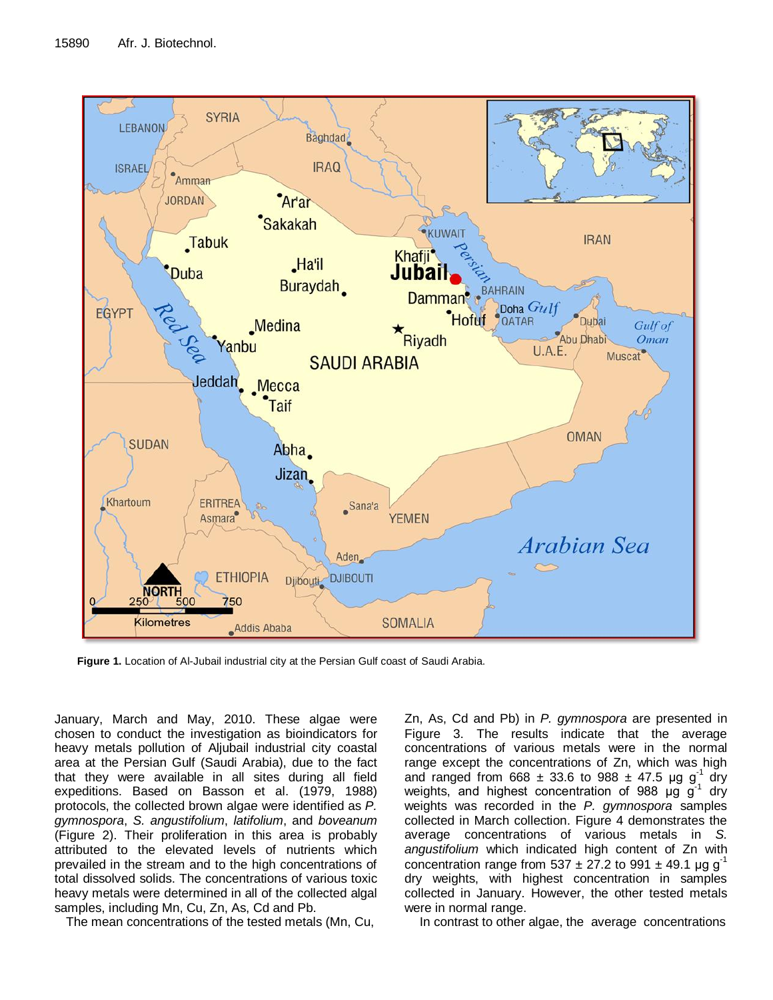

**Figure 1.** Location of Al-Jubail industrial city at the Persian Gulf coast of Saudi Arabia.

January, March and May, 2010. These algae were chosen to conduct the investigation as bioindicators for heavy metals pollution of Aljubail industrial city coastal area at the Persian Gulf (Saudi Arabia), due to the fact that they were available in all sites during all field expeditions. Based on Basson et al. (1979, 1988) protocols, the collected brown algae were identified as *P. gymnospora*, *S. angustifolium*, *latifolium*, and *boveanum* (Figure 2). Their proliferation in this area is probably attributed to the elevated levels of nutrients which prevailed in the stream and to the high concentrations of total dissolved solids. The concentrations of various toxic heavy metals were determined in all of the collected algal samples, including Mn, Cu, Zn, As, Cd and Pb.

The mean concentrations of the tested metals (Mn, Cu,

Zn, As, Cd and Pb) in *P. gymnospora* are presented in Figure 3. The results indicate that the average concentrations of various metals were in the normal range except the concentrations of Zn, which was high and ranged from 668  $\pm$  33.6 to 988  $\pm$  47.5 µg g<sup>1</sup> <sup>1</sup> dry weights, and highest concentration of 988  $\mu$ g g<sup>-1</sup> dry weights was recorded in the *P. gymnospora* samples collected in March collection. Figure 4 demonstrates the average concentrations of various metals in *S. angustifolium* which indicated high content of Zn with concentration range from 537  $\pm$  27.2 to 991  $\pm$  49.1 µg g<sup>-1</sup> dry weights, with highest concentration in samples collected in January. However, the other tested metals were in normal range.

In contrast to other algae, the average concentrations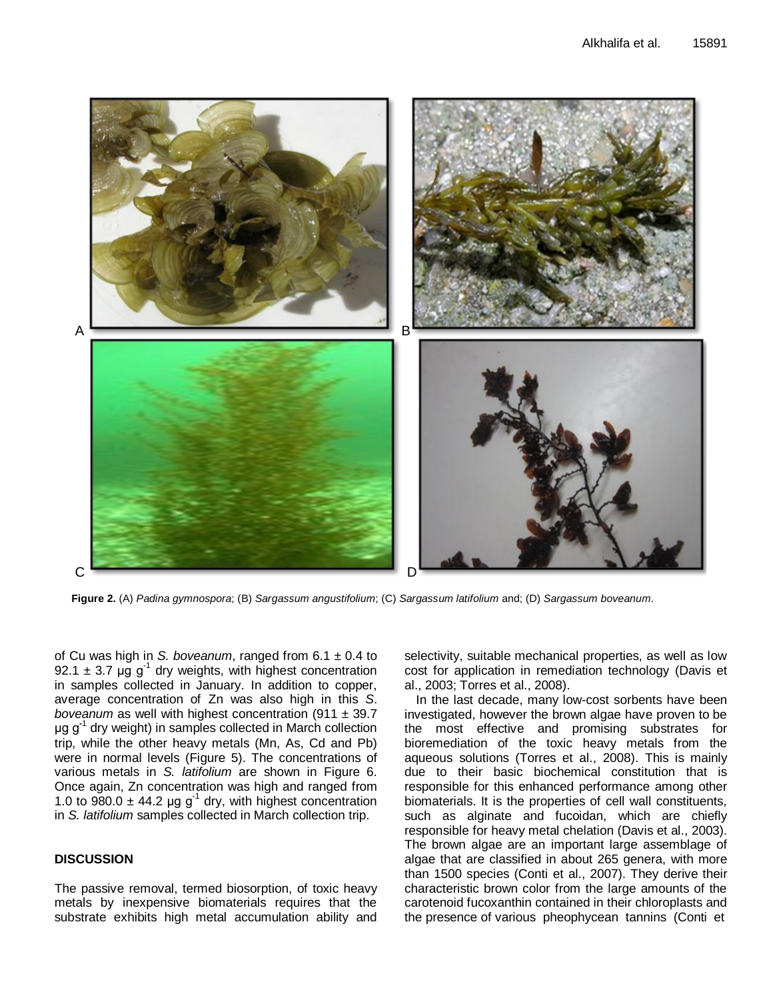

**Figure 2.** (A) *Padina gymnospora*; (B) *Sargassum angustifolium*; (C) *Sargassum latifolium* and; (D) *Sargassum boveanum*.

of Cu was high in *S. boveanum*, ranged from 6.1 ± 0.4 to 92.1  $\pm$  3.7 µg g<sup>-1</sup> dry weights, with highest concentration in samples collected in January. In addition to copper, average concentration of Zn was also high in this *S*. *boveanum* as well with highest concentration (911 ± 39.7 μg g**-**<sup>1</sup> dry weight) in samples collected in March collection trip, while the other heavy metals (Mn, As, Cd and Pb) were in normal levels (Figure 5). The concentrations of various metals in *S. latifolium* are shown in Figure 6. Once again, Zn concentration was high and ranged from 1.0 to  $980.0 \pm 44.2$  µg g<sup>-1</sup> dry, with highest concentration in *S. latifolium* samples collected in March collection trip.

# **DISCUSSION**

The passive removal, termed biosorption, of toxic heavy metals by inexpensive biomaterials requires that the substrate exhibits high metal accumulation ability and selectivity, suitable mechanical properties, as well as low cost for application in remediation technology (Davis et al., 2003; Torres et al., 2008).

In the last decade, many low-cost sorbents have been investigated, however the brown algae have proven to be the most effective and promising substrates for bioremediation of the toxic heavy metals from the aqueous solutions (Torres et al., 2008). This is mainly due to their basic biochemical constitution that is responsible for this enhanced performance among other biomaterials. It is the properties of cell wall constituents, such as alginate and fucoidan, which are chiefly responsible for heavy metal chelation (Davis et al., 2003). The brown algae are an important large assemblage of algae that are classified in about 265 genera, with more than 1500 species (Conti et al., 2007). They derive their characteristic brown color from the large amounts of the carotenoid fucoxanthin contained in their chloroplasts and the presence of various pheophycean tannins (Conti et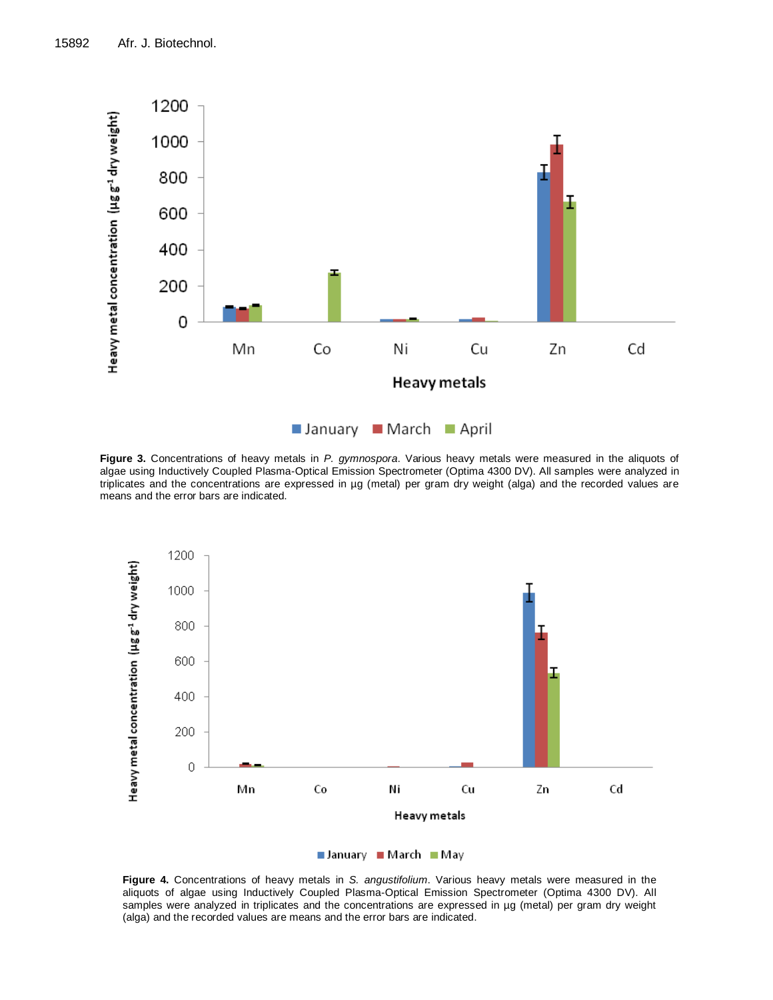

**Figure 3.** Concentrations of heavy metals in *P. gymnospora*. Various heavy metals were measured in the aliquots of algae using Inductively Coupled Plasma-Optical Emission Spectrometer (Optima 4300 DV). All samples were analyzed in triplicates and the concentrations are expressed in µg (metal) per gram dry weight (alga) and the recorded values are means and the error bars are indicated.





**Figure 4.** Concentrations of heavy metals in *S. angustifolium*. Various heavy metals were measured in the aliquots of algae using Inductively Coupled Plasma-Optical Emission Spectrometer (Optima 4300 DV). All samples were analyzed in triplicates and the concentrations are expressed in µg (metal) per gram dry weight (alga) and the recorded values are means and the error bars are indicated.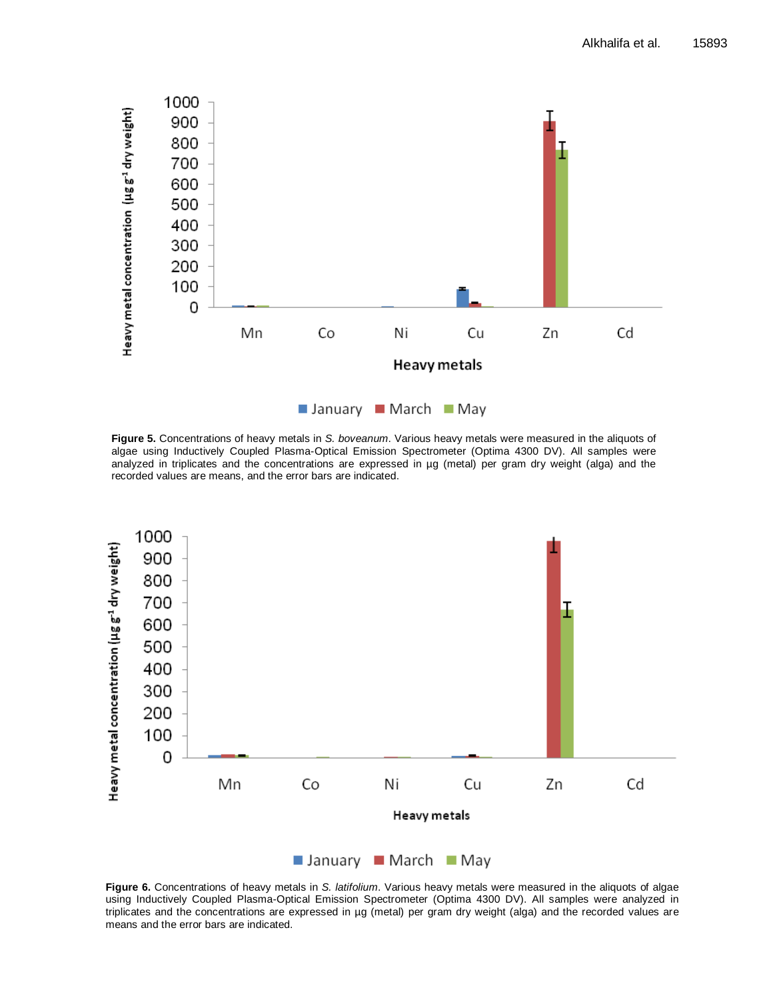

**Figure 5.** Concentrations of heavy metals in *S. boveanum*. Various heavy metals were measured in the aliquots of algae using Inductively Coupled Plasma-Optical Emission Spectrometer (Optima 4300 DV). All samples were analyzed in triplicates and the concentrations are expressed in µg (metal) per gram dry weight (alga) and the recorded values are means, and the error bars are indicated.



**Figure 6.** Concentrations of heavy metals in *S. latifolium*. Various heavy metals were measured in the aliquots of algae using Inductively Coupled Plasma-Optical Emission Spectrometer (Optima 4300 DV). All samples were analyzed in triplicates and the concentrations are expressed in µg (metal) per gram dry weight (alga) and the recorded values are means and the error bars are indicated.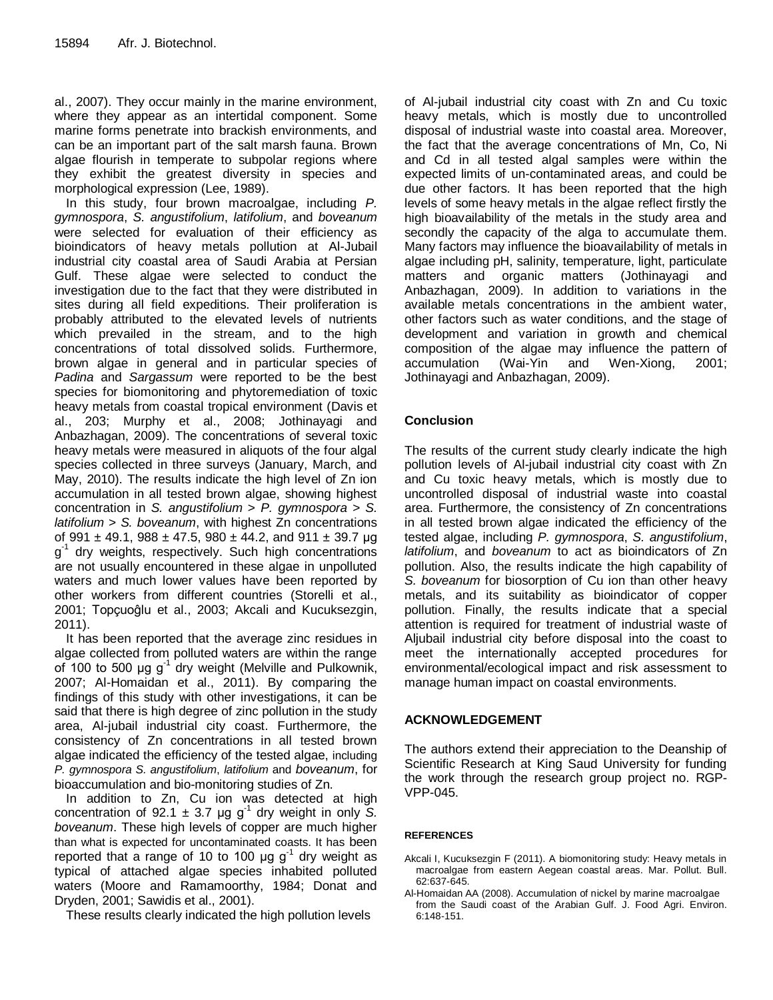al., 2007). They occur mainly in the marine environment, where they appear as an intertidal component. Some marine forms penetrate into brackish environments, and can be an important part of the salt marsh fauna. Brown algae flourish in temperate to subpolar regions where they exhibit the greatest diversity in species and morphological expression (Lee, 1989).

In this study, four brown macroalgae, including *P. gymnospora*, *S. angustifolium*, *latifolium*, and *boveanum* were selected for evaluation of their efficiency as bioindicators of heavy metals pollution at Al-Jubail industrial city coastal area of Saudi Arabia at Persian Gulf. These algae were selected to conduct the investigation due to the fact that they were distributed in sites during all field expeditions. Their proliferation is probably attributed to the elevated levels of nutrients which prevailed in the stream, and to the high concentrations of total dissolved solids. Furthermore, brown algae in general and in particular species of *Padina* and *Sargassum* were reported to be the best species for biomonitoring and phytoremediation of toxic heavy metals from coastal tropical environment (Davis et al., 203; Murphy et al., 2008; Jothinayagi and Anbazhagan, 2009). The concentrations of several toxic heavy metals were measured in aliquots of the four algal species collected in three surveys (January, March, and May, 2010). The results indicate the high level of Zn ion accumulation in all tested brown algae, showing highest concentration in *S. angustifolium* > *P. gymnospora* > *S. latifolium* > *S. boveanum*, with highest Zn concentrations of 991  $\pm$  49.1, 988  $\pm$  47.5, 980  $\pm$  44.2, and 911  $\pm$  39.7 µg g<sup>-1</sup> dry weights, respectively. Such high concentrations are not usually encountered in these algae in unpolluted waters and much lower values have been reported by other workers from different countries (Storelli et al., 2001; Topçuoĝlu et al., 2003; Akcali and Kucuksezgin, 2011).

It has been reported that the average zinc residues in algae collected from polluted waters are within the range of 100 to 500  $\mu$ g g<sup>-1</sup> dry weight (Melville and Pulkownik, 2007; Al-Homaidan et al., 2011). By comparing the findings of this study with other investigations, it can be said that there is high degree of zinc pollution in the study area, Al-jubail industrial city coast. Furthermore, the consistency of Zn concentrations in all tested brown algae indicated the efficiency of the tested algae, including *P. gymnospora S. angustifolium*, *latifolium* and *boveanum*, for bioaccumulation and bio-monitoring studies of Zn.

In addition to Zn, Cu ion was detected at high concentration of 92.1  $\pm$  3.7 µg g<sup>-1</sup> dry weight in only S. *boveanum*. These high levels of copper are much higher than what is expected for uncontaminated coasts. It has been reported that a range of 10 to 100  $\mu$ g g<sup>-1</sup> dry weight as typical of attached algae species inhabited polluted waters (Moore and Ramamoorthy, 1984; Donat and Dryden, 2001; Sawidis et al., 2001).

These results clearly indicated the high pollution levels

of Al-jubail industrial city coast with Zn and Cu toxic heavy metals, which is mostly due to uncontrolled disposal of industrial waste into coastal area. Moreover, the fact that the average concentrations of Mn, Co, Ni and Cd in all tested algal samples were within the expected limits of un-contaminated areas, and could be due other factors. It has been reported that the high levels of some heavy metals in the algae reflect firstly the high bioavailability of the metals in the study area and secondly the capacity of the alga to accumulate them. Many factors may influence the bioavailability of metals in algae including pH, salinity, temperature, light, particulate matters and organic matters (Jothinayagi and Anbazhagan, 2009). In addition to variations in the available metals concentrations in the ambient water, other factors such as water conditions, and the stage of development and variation in growth and chemical composition of the algae may influence the pattern of accumulation (Wai-Yin and Wen-Xiong, 2001; Jothinayagi and Anbazhagan, 2009).

# **Conclusion**

The results of the current study clearly indicate the high pollution levels of Al-jubail industrial city coast with Zn and Cu toxic heavy metals, which is mostly due to uncontrolled disposal of industrial waste into coastal area. Furthermore, the consistency of Zn concentrations in all tested brown algae indicated the efficiency of the tested algae, including *P. gymnospora*, *S. angustifolium*, *latifolium*, and *boveanum* to act as bioindicators of Zn pollution. Also, the results indicate the high capability of *S. boveanum* for biosorption of Cu ion than other heavy metals, and its suitability as bioindicator of copper pollution. Finally, the results indicate that a special attention is required for treatment of industrial waste of Aljubail industrial city before disposal into the coast to meet the internationally accepted procedures for environmental/ecological impact and risk assessment to manage human impact on coastal environments.

# **ACKNOWLEDGEMENT**

The authors extend their appreciation to the Deanship of Scientific Research at King Saud University for funding the work through the research group project no. RGP-VPP-045.

# **REFERENCES**

- Akcali I, Kucuksezgin F (2011). A biomonitoring study: Heavy metals in macroalgae from eastern Aegean coastal areas. Mar. Pollut. Bull. 62:637-645.
- Al-Homaidan AA (2008). Accumulation of nickel by marine macroalgae from the Saudi coast of the Arabian Gulf. J. Food Agri. Environ. 6:148-151.